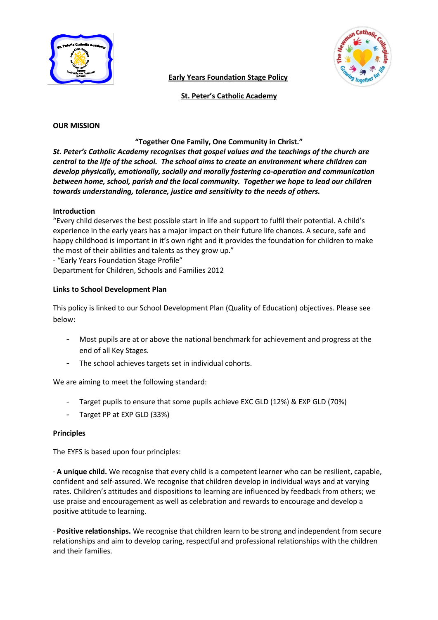

**Early Years Foundation Stage Policy**

 **St. Peter's Catholic Academy**

### **OUR MISSION**

### **"Together One Family, One Community in Christ."**

*St. Peter's Catholic Academy recognises that gospel values and the teachings of the church are central to the life of the school. The school aims to create an environment where children can develop physically, emotionally, socially and morally fostering co-operation and communication between home, school, parish and the local community. Together we hope to lead our children towards understanding, tolerance, justice and sensitivity to the needs of others.*

# **Introduction**

"Every child deserves the best possible start in life and support to fulfil their potential. A child's experience in the early years has a major impact on their future life chances. A secure, safe and happy childhood is important in it's own right and it provides the foundation for children to make the most of their abilities and talents as they grow up."

- "Early Years Foundation Stage Profile" Department for Children, Schools and Families 2012

# **Links to School Development Plan**

This policy is linked to our School Development Plan (Quality of Education) objectives. Please see below:

- Most pupils are at or above the national benchmark for achievement and progress at the end of all Key Stages.
- The school achieves targets set in individual cohorts.

We are aiming to meet the following standard:

- Target pupils to ensure that some pupils achieve EXC GLD (12%) & EXP GLD (70%)
- Target PP at EXP GLD (33%)

### **Principles**

The EYFS is based upon four principles:

· **A unique child.** We recognise that every child is a competent learner who can be resilient, capable, confident and self-assured. We recognise that children develop in individual ways and at varying rates. Children's attitudes and dispositions to learning are influenced by feedback from others; we use praise and encouragement as well as celebration and rewards to encourage and develop a positive attitude to learning.

· **Positive relationships.** We recognise that children learn to be strong and independent from secure relationships and aim to develop caring, respectful and professional relationships with the children and their families.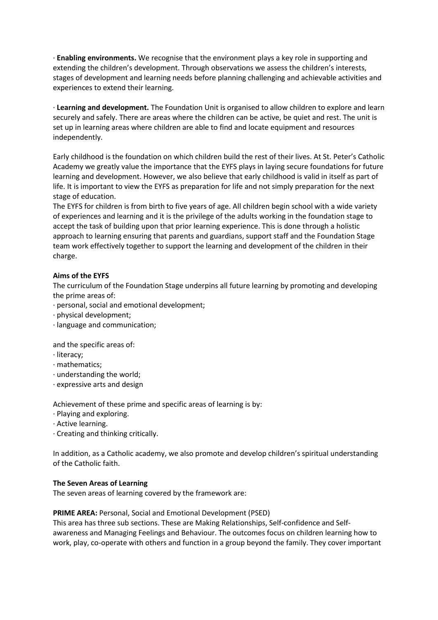· **Enabling environments.** We recognise that the environment plays a key role in supporting and extending the children's development. Through observations we assess the children's interests, stages of development and learning needs before planning challenging and achievable activities and experiences to extend their learning.

· **Learning and development.** The Foundation Unit is organised to allow children to explore and learn securely and safely. There are areas where the children can be active, be quiet and rest. The unit is set up in learning areas where children are able to find and locate equipment and resources independently.

Early childhood is the foundation on which children build the rest of their lives. At St. Peter's Catholic Academy we greatly value the importance that the EYFS plays in laying secure foundations for future learning and development. However, we also believe that early childhood is valid in itself as part of life. It is important to view the EYFS as preparation for life and not simply preparation for the next stage of education.

The EYFS for children is from birth to five years of age. All children begin school with a wide variety of experiences and learning and it is the privilege of the adults working in the foundation stage to accept the task of building upon that prior learning experience. This is done through a holistic approach to learning ensuring that parents and guardians, support staff and the Foundation Stage team work effectively together to support the learning and development of the children in their charge.

# **Aims of the EYFS**

The curriculum of the Foundation Stage underpins all future learning by promoting and developing the prime areas of:

- · personal, social and emotional development;
- · physical development;
- · language and communication;

and the specific areas of:

- · literacy;
- · mathematics;
- · understanding the world;
- · expressive arts and design

Achievement of these prime and specific areas of learning is by:

- · Playing and exploring.
- · Active learning.
- · Creating and thinking critically.

In addition, as a Catholic academy, we also promote and develop children's spiritual understanding of the Catholic faith.

### **The Seven Areas of Learning**

The seven areas of learning covered by the framework are:

### **PRIME AREA: Personal, Social and Emotional Development (PSED)**

This area has three sub sections. These are Making Relationships, Self-confidence and Selfawareness and Managing Feelings and Behaviour. The outcomes focus on children learning how to work, play, co-operate with others and function in a group beyond the family. They cover important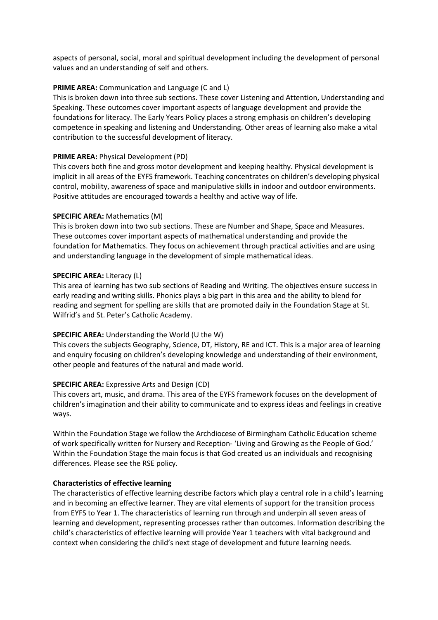aspects of personal, social, moral and spiritual development including the development of personal values and an understanding of self and others.

### **PRIME AREA:** Communication and Language (C and L)

This is broken down into three sub sections. These cover Listening and Attention, Understanding and Speaking. These outcomes cover important aspects of language development and provide the foundations for literacy. The Early Years Policy places a strong emphasis on children's developing competence in speaking and listening and Understanding. Other areas of learning also make a vital contribution to the successful development of literacy.

# **PRIME AREA:** Physical Development (PD)

This covers both fine and gross motor development and keeping healthy. Physical development is implicit in all areas of the EYFS framework. Teaching concentrates on children's developing physical control, mobility, awareness of space and manipulative skills in indoor and outdoor environments. Positive attitudes are encouraged towards a healthy and active way of life.

# **SPECIFIC AREA:** Mathematics (M)

This is broken down into two sub sections. These are Number and Shape, Space and Measures. These outcomes cover important aspects of mathematical understanding and provide the foundation for Mathematics. They focus on achievement through practical activities and are using and understanding language in the development of simple mathematical ideas.

### **SPECIFIC AREA:** Literacy (L)

This area of learning has two sub sections of Reading and Writing. The objectives ensure success in early reading and writing skills. Phonics plays a big part in this area and the ability to blend for reading and segment for spelling are skills that are promoted daily in the Foundation Stage at St. Wilfrid's and St. Peter's Catholic Academy.

### **SPECIFIC AREA:** Understanding the World (U the W)

This covers the subjects Geography, Science, DT, History, RE and ICT. This is a major area of learning and enquiry focusing on children's developing knowledge and understanding of their environment, other people and features of the natural and made world.

### **SPECIFIC AREA:** Expressive Arts and Design (CD)

This covers art, music, and drama. This area of the EYFS framework focuses on the development of children's imagination and their ability to communicate and to express ideas and feelings in creative ways.

Within the Foundation Stage we follow the Archdiocese of Birmingham Catholic Education scheme of work specifically written for Nursery and Reception- 'Living and Growing as the People of God.' Within the Foundation Stage the main focus is that God created us an individuals and recognising differences. Please see the RSE policy.

### **Characteristics of effective learning**

The characteristics of effective learning describe factors which play a central role in a child's learning and in becoming an effective learner. They are vital elements of support for the transition process from EYFS to Year 1. The characteristics of learning run through and underpin all seven areas of learning and development, representing processes rather than outcomes. Information describing the child's characteristics of effective learning will provide Year 1 teachers with vital background and context when considering the child's next stage of development and future learning needs.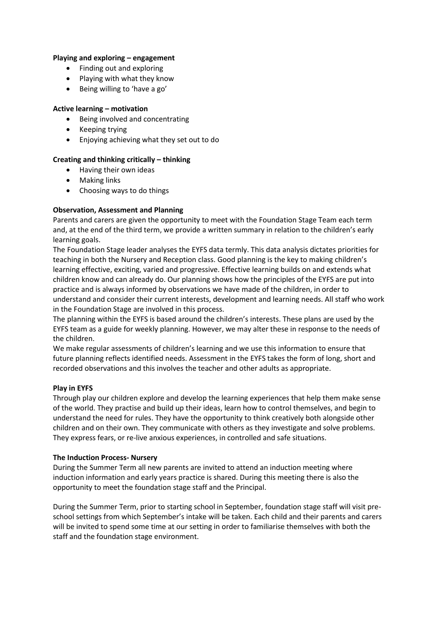### **Playing and exploring – engagement**

- Finding out and exploring
- Playing with what they know
- Being willing to 'have a go'

### **Active learning – motivation**

- Being involved and concentrating
- Keeping trying
- Enjoying achieving what they set out to do

# **Creating and thinking critically – thinking**

- Having their own ideas
- Making links
- Choosing ways to do things

# **Observation, Assessment and Planning**

Parents and carers are given the opportunity to meet with the Foundation Stage Team each term and, at the end of the third term, we provide a written summary in relation to the children's early learning goals.

The Foundation Stage leader analyses the EYFS data termly. This data analysis dictates priorities for teaching in both the Nursery and Reception class. Good planning is the key to making children's learning effective, exciting, varied and progressive. Effective learning builds on and extends what children know and can already do. Our planning shows how the principles of the EYFS are put into practice and is always informed by observations we have made of the children, in order to understand and consider their current interests, development and learning needs. All staff who work in the Foundation Stage are involved in this process.

The planning within the EYFS is based around the children's interests. These plans are used by the EYFS team as a guide for weekly planning. However, we may alter these in response to the needs of the children.

We make regular assessments of children's learning and we use this information to ensure that future planning reflects identified needs. Assessment in the EYFS takes the form of long, short and recorded observations and this involves the teacher and other adults as appropriate.

### **Play in EYFS**

Through play our children explore and develop the learning experiences that help them make sense of the world. They practise and build up their ideas, learn how to control themselves, and begin to understand the need for rules. They have the opportunity to think creatively both alongside other children and on their own. They communicate with others as they investigate and solve problems. They express fears, or re-live anxious experiences, in controlled and safe situations.

### **The Induction Process- Nursery**

During the Summer Term all new parents are invited to attend an induction meeting where induction information and early years practice is shared. During this meeting there is also the opportunity to meet the foundation stage staff and the Principal.

During the Summer Term, prior to starting school in September, foundation stage staff will visit preschool settings from which September's intake will be taken. Each child and their parents and carers will be invited to spend some time at our setting in order to familiarise themselves with both the staff and the foundation stage environment.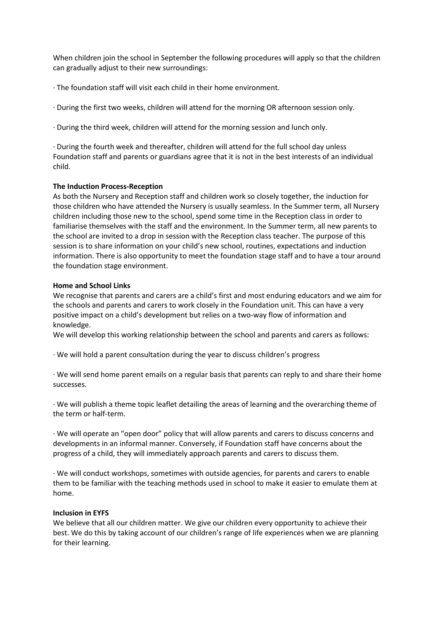When children join the school in September the following procedures will apply so that the children can gradually adjust to their new surroundings:

- · The foundation staff will visit each child in their home environment.
- · During the first two weeks, children will attend for the morning OR afternoon session only.
- · During the third week, children will attend for the morning session and lunch only.

· During the fourth week and thereafter, children will attend for the full school day unless Foundation staff and parents or guardians agree that it is not in the best interests of an individual child.

### **The Induction Process-Reception**

As both the Nursery and Reception staff and children work so closely together, the induction for those children who have attended the Nursery is usually seamless. In the Summer term, all Nursery children including those new to the school, spend some time in the Reception class in order to familiarise themselves with the staff and the environment. In the Summer term, all new parents to the school are invited to a drop in session with the Reception class teacher. The purpose of this session is to share information on your child's new school, routines, expectations and induction information. There is also opportunity to meet the foundation stage staff and to have a tour around the foundation stage environment.

### **Home and School Links**

We recognise that parents and carers are a child's first and most enduring educators and we aim for the schools and parents and carers to work closely in the Foundation unit. This can have a very positive impact on a child's development but relies on a two-way flow of information and knowledge.

We will develop this working relationship between the school and parents and carers as follows:

· We will hold a parent consultation during the year to discuss children's progress

· We will send home parent emails on a regular basis that parents can reply to and share their home successes.

· We will publish a theme topic leaflet detailing the areas of learning and the overarching theme of the term or half-term.

· We will operate an "open door" policy that will allow parents and carers to discuss concerns and developments in an informal manner. Conversely, if Foundation staff have concerns about the progress of a child, they will immediately approach parents and carers to discuss them.

· We will conduct workshops, sometimes with outside agencies, for parents and carers to enable them to be familiar with the teaching methods used in school to make it easier to emulate them at home.

### **Inclusion in EYFS**

We believe that all our children matter. We give our children every opportunity to achieve their best. We do this by taking account of our children's range of life experiences when we are planning for their learning.